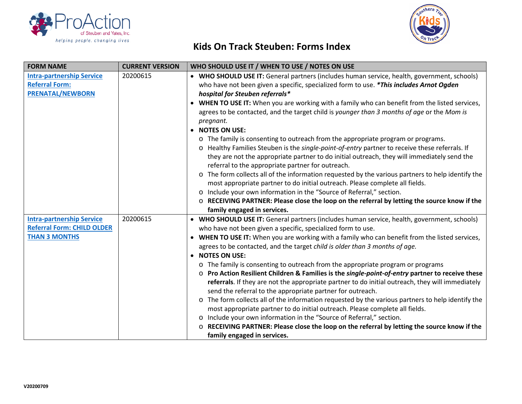



## **Kids On Track Steuben: Forms Index**

| <b>FORM NAME</b>                  | <b>CURRENT VERSION</b> | WHO SHOULD USE IT / WHEN TO USE / NOTES ON USE                                                     |
|-----------------------------------|------------------------|----------------------------------------------------------------------------------------------------|
| <b>Intra-partnership Service</b>  | 20200615               | • WHO SHOULD USE IT: General partners (includes human service, health, government, schools)        |
| <b>Referral Form:</b>             |                        | who have not been given a specific, specialized form to use. *This includes Arnot Ogden            |
| <b>PRENATAL/NEWBORN</b>           |                        | hospital for Steuben referrals*                                                                    |
|                                   |                        | • WHEN TO USE IT: When you are working with a family who can benefit from the listed services,     |
|                                   |                        | agrees to be contacted, and the target child is younger than 3 months of age or the Mom is         |
|                                   |                        | pregnant.                                                                                          |
|                                   |                        | • NOTES ON USE:                                                                                    |
|                                   |                        | o The family is consenting to outreach from the appropriate program or programs.                   |
|                                   |                        | o Healthy Families Steuben is the single-point-of-entry partner to receive these referrals. If     |
|                                   |                        | they are not the appropriate partner to do initial outreach, they will immediately send the        |
|                                   |                        | referral to the appropriate partner for outreach.                                                  |
|                                   |                        | o The form collects all of the information requested by the various partners to help identify the  |
|                                   |                        | most appropriate partner to do initial outreach. Please complete all fields.                       |
|                                   |                        | o Include your own information in the "Source of Referral," section.                               |
|                                   |                        | $\circ$ RECEIVING PARTNER: Please close the loop on the referral by letting the source know if the |
|                                   |                        | family engaged in services.                                                                        |
| <b>Intra-partnership Service</b>  | 20200615               | • WHO SHOULD USE IT: General partners (includes human service, health, government, schools)        |
| <b>Referral Form: CHILD OLDER</b> |                        | who have not been given a specific, specialized form to use.                                       |
| <b>THAN 3 MONTHS</b>              |                        | • WHEN TO USE IT: When you are working with a family who can benefit from the listed services,     |
|                                   |                        | agrees to be contacted, and the target child is older than 3 months of age.                        |
|                                   |                        | • NOTES ON USE:                                                                                    |
|                                   |                        | o The family is consenting to outreach from the appropriate program or programs                    |
|                                   |                        | ○ Pro Action Resilient Children & Families is the single-point-of-entry partner to receive these   |
|                                   |                        | referrals. If they are not the appropriate partner to do initial outreach, they will immediately   |
|                                   |                        | send the referral to the appropriate partner for outreach.                                         |
|                                   |                        | o The form collects all of the information requested by the various partners to help identify the  |
|                                   |                        | most appropriate partner to do initial outreach. Please complete all fields.                       |
|                                   |                        | Include your own information in the "Source of Referral," section.<br>$\circ$                      |
|                                   |                        | RECEIVING PARTNER: Please close the loop on the referral by letting the source know if the         |
|                                   |                        | family engaged in services.                                                                        |